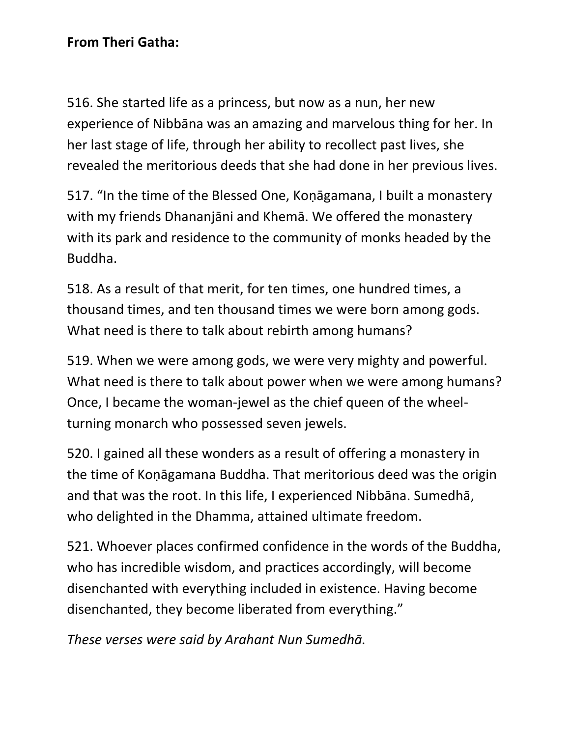## **From Theri Gatha:**

516. She started life as a princess, but now as a nun, her new experience of Nibbāna was an amazing and marvelous thing for her. In her last stage of life, through her ability to recollect past lives, she revealed the meritorious deeds that she had done in her previous lives.

517. "In the time of the Blessed One, Koṇāgamana, I built a monastery with my friends Dhananjāni and Khemā. We offered the monastery with its park and residence to the community of monks headed by the Buddha.

518. As a result of that merit, for ten times, one hundred times, a thousand times, and ten thousand times we were born among gods. What need is there to talk about rebirth among humans?

519. When we were among gods, we were very mighty and powerful. What need is there to talk about power when we were among humans? Once, I became the woman-jewel as the chief queen of the wheelturning monarch who possessed seven jewels.

520. I gained all these wonders as a result of offering a monastery in the time of Koṇāgamana Buddha. That meritorious deed was the origin and that was the root. In this life, I experienced Nibbāna. Sumedhā, who delighted in the Dhamma, attained ultimate freedom.

521. Whoever places confirmed confidence in the words of the Buddha, who has incredible wisdom, and practices accordingly, will become disenchanted with everything included in existence. Having become disenchanted, they become liberated from everything."

*These verses were said by Arahant Nun Sumedhā.*